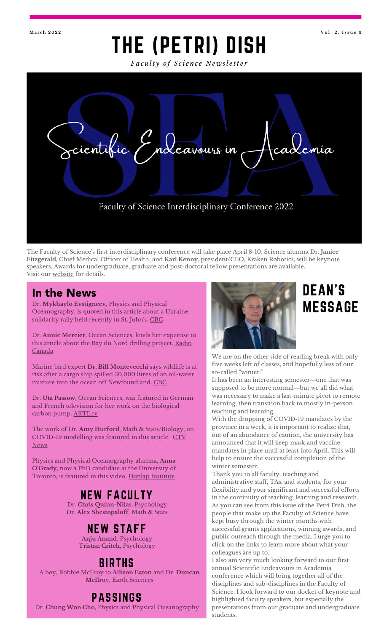### THE (PETRI) DISH **Ma r c h 2 0 2 2 V o l . 2 , I s s u e 3**

*Fa c u lt y o f S c i e n c e N e w sl e tt e r*



The Faculty of Science ' s first interdisciplinary conference will take place April 8-10. Science alumna Dr. **Janice Fitzgerald,** Chief Medical Officer of Health; and **Karl Kenny**, president/CEO, Kraken Robotics, will be keynote speakers. Awards for undergraduate, graduate and post-doctoral fellow presentations are available. Visit our [website](https://mun.ca/science/research-and-teaching/research/scientific-endeavours-in-academia-conference/) for details.

Dr. **Mykhaylo Evstigneev**, Physics and Physical Oceanography, is quoted in this article about a Ukraine solidarity rally held recently in St. John's. <u>[CBC](https://www.cbc.ca/news/canada/newfoundland-labrador/ukraine-rally-st-johns-nl-1.6366061)</u>

Dr. **Annie Mercier**, Ocean Sciences, lends her expertise to this article about the Bay du Nord drilling [project.](https://ici.radio-canada.ca/recit-numerique/3651/petrole-terre-neuve-ottawa-guilbeault) Radio Canada

Marine bird expert **Dr. Bill Montevecchi** says wildlife is at risk after a cargo ship spilled 30,000 litres of an oil-water mixture into the ocean off Newfoundland. [CBC](https://www.cbc.ca/news/canada/newfoundland-labrador/alaskaborg-oil-spill-sea-birds-1.6350766)

Dr. **Uta Passow**, Ocean Sciences, was featured in German and French television for her work on the biological carbon pump. [ARTE.tv](https://www.arte.tv/de/videos/107321-000-A/die-weltmeere-co2-speicher-auf-der-kippe/)

The work of Dr. **Amy Hurford**, Math & Stats/Biology, on [COVID-19](https://www.ctvnews.ca/health/coronavirus/omicron-upends-mathematical-models-tracking-covid-19-1.5738979) modelling was featured in this article. CTV News

Physics and Physical Oceanography alumna, **Anna O'Grady**, now a PhD candidate at the University of Toronto, is featured in this video. Dunlap [Institute](https://www.youtube.com/watch?v=3VIbKTRUblQ)

### NEW FACULTY

Dr. **Chris Quinn-Nila**s, Psychology Dr. **Alex Shestopaloff**, Math & Stats

### NEW STAFF

**Anju Anand**, Psychology **Tristan Critch**, Psychology

### BIRTHS

A boy, Robbie McIlroy to **Allison Eaton** and Dr. **Duncan McIlro**y, Earth Sciences

### PASSINGS

Dr. **Chung Won Cho**, Physics and Physical Oceanography



# MESSAGE

We are on the other side of reading break with only five weeks left of classes, and hopefully less of our so-called " winter. "

It has been an interesting semester—one that was supposed to be more normal—but we all did what was necessary to make a last-minute pivot to remote learning, then transition back to mostly in-person teaching and learning.

With the dropping of COVID-19 mandates by the province in a week, it is important to realize that, out of an abundance of caution, the university has announced that it will keep mask and vaccine mandates in place until at least into April. This will help to ensure the successful completion of the winter semester.

Thank you to all faculty, teaching and administrative staff, TAs, and students, for your flexibility and your significant and successful efforts in the continuity of teaching, learning and research. As you can see from this issue of the Petri Dish, the people that make up the Faculty of Science have kept busy through the winter months with successful grants applications, winning awards, and public outreach through the media. I urge you to click on the links to learn more about what your colleagues are up to.

I also am very much looking forward to our first annual Scientific Endeavours in Academia conference which will bring together all of the disciplines and sub-disciplines in the Faculty of Science. I look forward to our docket of keynote and highlighted faculty speakers, but especially the presentations from our graduate and undergraduate students.